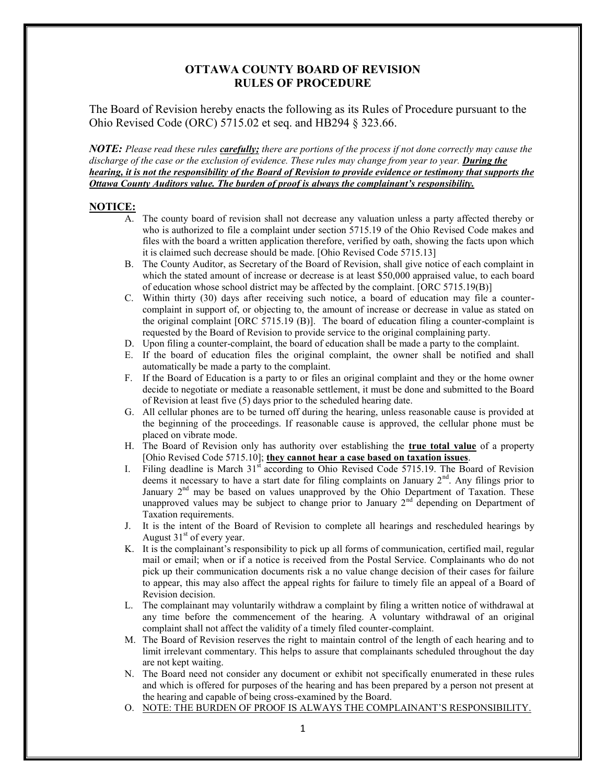## **OTTAWA COUNTY BOARD OF REVISION RULES OF PROCEDURE**

The Board of Revision hereby enacts the following as its Rules of Procedure pursuant to the Ohio Revised Code (ORC) 5715.02 et seq. and HB294 § 323.66.

*NOTE: Please read these rules carefully; there are portions of the process if not done correctly may cause the discharge of the case or the exclusion of evidence. These rules may change from year to year. During the hearing, it is not the responsibility of the Board of Revision to provide evidence or testimony that supports the Ottawa County Auditors value. The burden of proof is always the complainant's responsibility.*

### **NOTICE:**

- A. The county board of revision shall not decrease any valuation unless a party affected thereby or who is authorized to file a complaint under section 5715.19 of the Ohio Revised Code makes and files with the board a written application therefore, verified by oath, showing the facts upon which it is claimed such decrease should be made. [Ohio Revised Code 5715.13]
- B. The County Auditor, as Secretary of the Board of Revision, shall give notice of each complaint in which the stated amount of increase or decrease is at least \$50,000 appraised value, to each board of education whose school district may be affected by the complaint. [ORC 5715.19(B)]
- C. Within thirty (30) days after receiving such notice, a board of education may file a countercomplaint in support of, or objecting to, the amount of increase or decrease in value as stated on the original complaint [ORC 5715.19 (B)]. The board of education filing a counter-complaint is requested by the Board of Revision to provide service to the original complaining party.
- D. Upon filing a counter-complaint, the board of education shall be made a party to the complaint.
- E. If the board of education files the original complaint, the owner shall be notified and shall automatically be made a party to the complaint.
- F. If the Board of Education is a party to or files an original complaint and they or the home owner decide to negotiate or mediate a reasonable settlement, it must be done and submitted to the Board of Revision at least five (5) days prior to the scheduled hearing date.
- G. All cellular phones are to be turned off during the hearing, unless reasonable cause is provided at the beginning of the proceedings. If reasonable cause is approved, the cellular phone must be placed on vibrate mode.
- H. The Board of Revision only has authority over establishing the **true total value** of a property [Ohio Revised Code 5715.10]; **they cannot hear a case based on taxation issues**.
- I. Filing deadline is March 31<sup>st</sup> according to Ohio Revised Code 5715.19. The Board of Revision deems it necessary to have a start date for filing complaints on January  $2<sup>nd</sup>$ . Any filings prior to January  $2<sup>nd</sup>$  may be based on values unapproved by the Ohio Department of Taxation. These unapproved values may be subject to change prior to January  $2<sup>nd</sup>$  depending on Department of Taxation requirements.
- J. It is the intent of the Board of Revision to complete all hearings and rescheduled hearings by August  $31<sup>st</sup>$  of every year.
- K. It is the complainant's responsibility to pick up all forms of communication, certified mail, regular mail or email; when or if a notice is received from the Postal Service. Complainants who do not pick up their communication documents risk a no value change decision of their cases for failure to appear, this may also affect the appeal rights for failure to timely file an appeal of a Board of Revision decision.
- L. The complainant may voluntarily withdraw a complaint by filing a written notice of withdrawal at any time before the commencement of the hearing. A voluntary withdrawal of an original complaint shall not affect the validity of a timely filed counter-complaint.
- M. The Board of Revision reserves the right to maintain control of the length of each hearing and to limit irrelevant commentary. This helps to assure that complainants scheduled throughout the day are not kept waiting.
- N. The Board need not consider any document or exhibit not specifically enumerated in these rules and which is offered for purposes of the hearing and has been prepared by a person not present at the hearing and capable of being cross-examined by the Board.
- O. NOTE: THE BURDEN OF PROOF IS ALWAYS THE COMPLAINANT'S RESPONSIBILITY.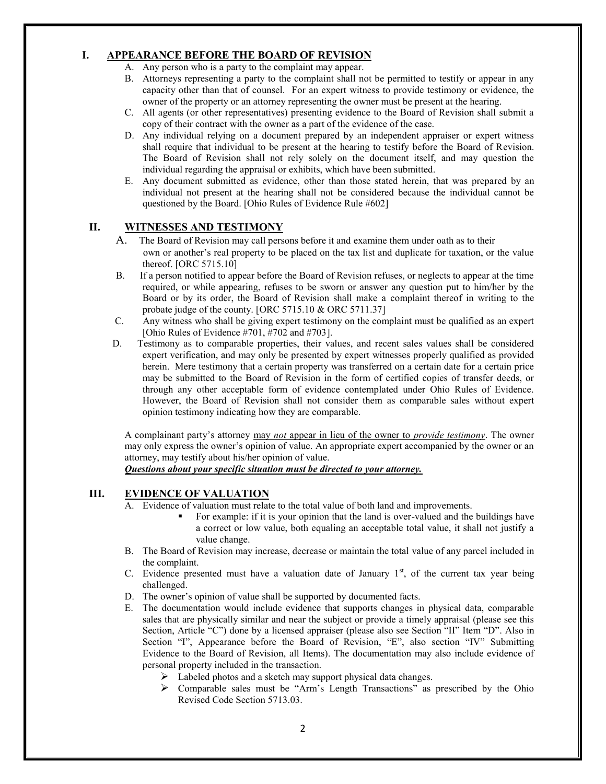## **I. APPEARANCE BEFORE THE BOARD OF REVISION**

- A. Any person who is a party to the complaint may appear.
- B. Attorneys representing a party to the complaint shall not be permitted to testify or appear in any capacity other than that of counsel. For an expert witness to provide testimony or evidence, the owner of the property or an attorney representing the owner must be present at the hearing.
- C. All agents (or other representatives) presenting evidence to the Board of Revision shall submit a copy of their contract with the owner as a part of the evidence of the case.
- D. Any individual relying on a document prepared by an independent appraiser or expert witness shall require that individual to be present at the hearing to testify before the Board of Revision. The Board of Revision shall not rely solely on the document itself, and may question the individual regarding the appraisal or exhibits, which have been submitted.
- E. Any document submitted as evidence, other than those stated herein, that was prepared by an individual not present at the hearing shall not be considered because the individual cannot be questioned by the Board. [Ohio Rules of Evidence Rule #602]

## **II. WITNESSES AND TESTIMONY**

- A. The Board of Revision may call persons before it and examine them under oath as to their own or another's real property to be placed on the tax list and duplicate for taxation, or the value thereof. [ORC 5715.10]
- B. If a person notified to appear before the Board of Revision refuses, or neglects to appear at the time required, or while appearing, refuses to be sworn or answer any question put to him/her by the Board or by its order, the Board of Revision shall make a complaint thereof in writing to the probate judge of the county. [ORC 5715.10 & ORC 5711.37]
- C. Any witness who shall be giving expert testimony on the complaint must be qualified as an expert [Ohio Rules of Evidence #701, #702 and #703].
- D. Testimony as to comparable properties, their values, and recent sales values shall be considered expert verification, and may only be presented by expert witnesses properly qualified as provided herein. Mere testimony that a certain property was transferred on a certain date for a certain price may be submitted to the Board of Revision in the form of certified copies of transfer deeds, or through any other acceptable form of evidence contemplated under Ohio Rules of Evidence. However, the Board of Revision shall not consider them as comparable sales without expert opinion testimony indicating how they are comparable.

A complainant party's attorney may *not* appear in lieu of the owner to *provide testimony*. The owner may only express the owner's opinion of value. An appropriate expert accompanied by the owner or an attorney, may testify about his/her opinion of value.

*Questions about your specific situation must be directed to your attorney.*

#### **III. EVIDENCE OF VALUATION**

- A. Evidence of valuation must relate to the total value of both land and improvements.
	- For example: if it is your opinion that the land is over-valued and the buildings have a correct or low value, both equaling an acceptable total value, it shall not justify a value change.
- B. The Board of Revision may increase, decrease or maintain the total value of any parcel included in the complaint.
- C. Evidence presented must have a valuation date of January  $1<sup>st</sup>$ , of the current tax year being challenged.
- D. The owner's opinion of value shall be supported by documented facts.
- E. The documentation would include evidence that supports changes in physical data, comparable sales that are physically similar and near the subject or provide a timely appraisal (please see this Section, Article "C") done by a licensed appraiser (please also see Section "II" Item "D". Also in Section "I", Appearance before the Board of Revision, "E", also section "IV" Submitting Evidence to the Board of Revision, all Items). The documentation may also include evidence of personal property included in the transaction.
	- $\triangleright$  Labeled photos and a sketch may support physical data changes.
	- $\triangleright$  Comparable sales must be "Arm's Length Transactions" as prescribed by the Ohio Revised Code Section 5713.03.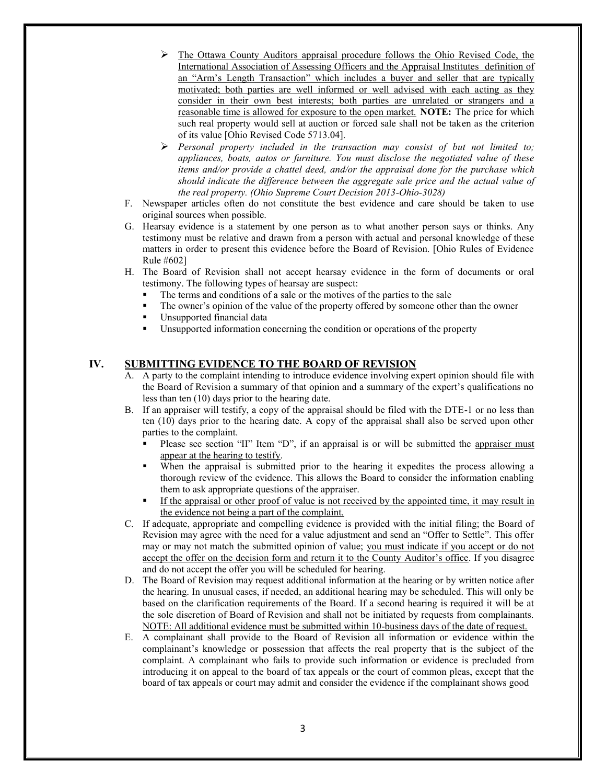- $\triangleright$  The Ottawa County Auditors appraisal procedure follows the Ohio Revised Code, the International Association of Assessing Officers and the Appraisal Institutes definition of an "Arm's Length Transaction" which includes a buyer and seller that are typically motivated; both parties are well informed or well advised with each acting as they consider in their own best interests; both parties are unrelated or strangers and a reasonable time is allowed for exposure to the open market. **NOTE:** The price for which such real property would sell at auction or forced sale shall not be taken as the criterion of its value [Ohio Revised Code 5713.04].
- *Personal property included in the transaction may consist of but not limited to; appliances, boats, autos or furniture. You must disclose the negotiated value of these items and/or provide a chattel deed, and/or the appraisal done for the purchase which should indicate the difference between the aggregate sale price and the actual value of the real property. (Ohio Supreme Court Decision 2013-Ohio-3028)*
- F. Newspaper articles often do not constitute the best evidence and care should be taken to use original sources when possible.
- G. Hearsay evidence is a statement by one person as to what another person says or thinks. Any testimony must be relative and drawn from a person with actual and personal knowledge of these matters in order to present this evidence before the Board of Revision. [Ohio Rules of Evidence Rule #602]
- H. The Board of Revision shall not accept hearsay evidence in the form of documents or oral testimony. The following types of hearsay are suspect:
	- The terms and conditions of a sale or the motives of the parties to the sale
	- The owner's opinion of the value of the property offered by someone other than the owner
	- Unsupported financial data
	- Unsupported information concerning the condition or operations of the property

#### **IV. SUBMITTING EVIDENCE TO THE BOARD OF REVISION**

- A. A party to the complaint intending to introduce evidence involving expert opinion should file with the Board of Revision a summary of that opinion and a summary of the expert's qualifications no less than ten (10) days prior to the hearing date.
- B. If an appraiser will testify, a copy of the appraisal should be filed with the DTE-1 or no less than ten (10) days prior to the hearing date. A copy of the appraisal shall also be served upon other parties to the complaint.
	- Please see section "II" Item "D", if an appraisal is or will be submitted the appraiser must appear at the hearing to testify.
	- When the appraisal is submitted prior to the hearing it expedites the process allowing a thorough review of the evidence. This allows the Board to consider the information enabling them to ask appropriate questions of the appraiser.
	- If the appraisal or other proof of value is not received by the appointed time, it may result in the evidence not being a part of the complaint.
- C. If adequate, appropriate and compelling evidence is provided with the initial filing; the Board of Revision may agree with the need for a value adjustment and send an "Offer to Settle". This offer may or may not match the submitted opinion of value; you must indicate if you accept or do not accept the offer on the decision form and return it to the County Auditor's office. If you disagree and do not accept the offer you will be scheduled for hearing.
- D. The Board of Revision may request additional information at the hearing or by written notice after the hearing. In unusual cases, if needed, an additional hearing may be scheduled. This will only be based on the clarification requirements of the Board. If a second hearing is required it will be at the sole discretion of Board of Revision and shall not be initiated by requests from complainants. NOTE: All additional evidence must be submitted within 10-business days of the date of request.
- E. A complainant shall provide to the Board of Revision all information or evidence within the complainant's knowledge or possession that affects the real property that is the subject of the complaint. A complainant who fails to provide such information or evidence is precluded from introducing it on appeal to the board of tax appeals or the court of common pleas, except that the board of tax appeals or court may admit and consider the evidence if the complainant shows good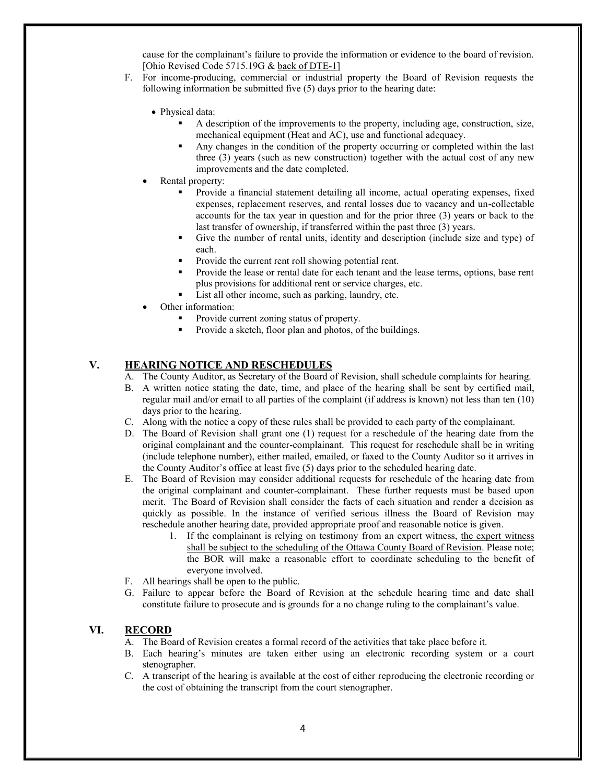cause for the complainant's failure to provide the information or evidence to the board of revision. [Ohio Revised Code 5715.19G & back of DTE-1]

- F. For income-producing, commercial or industrial property the Board of Revision requests the following information be submitted five (5) days prior to the hearing date:
	- Physical data:
		- A description of the improvements to the property, including age, construction, size, mechanical equipment (Heat and AC), use and functional adequacy.
		- Any changes in the condition of the property occurring or completed within the last three (3) years (such as new construction) together with the actual cost of any new improvements and the date completed.
	- Rental property:
		- Provide a financial statement detailing all income, actual operating expenses, fixed expenses, replacement reserves, and rental losses due to vacancy and un-collectable accounts for the tax year in question and for the prior three (3) years or back to the last transfer of ownership, if transferred within the past three (3) years.
		- Give the number of rental units, identity and description (include size and type) of each.
		- Provide the current rent roll showing potential rent.
		- Provide the lease or rental date for each tenant and the lease terms, options, base rent plus provisions for additional rent or service charges, etc.
		- List all other income, such as parking, laundry, etc.
		- Other information:
			- Provide current zoning status of property.
			- Provide a sketch, floor plan and photos, of the buildings.

## **V. HEARING NOTICE AND RESCHEDULES**

- A. The County Auditor, as Secretary of the Board of Revision, shall schedule complaints for hearing.
- B. A written notice stating the date, time, and place of the hearing shall be sent by certified mail, regular mail and/or email to all parties of the complaint (if address is known) not less than ten (10) days prior to the hearing.
- C. Along with the notice a copy of these rules shall be provided to each party of the complainant.
- D. The Board of Revision shall grant one (1) request for a reschedule of the hearing date from the original complainant and the counter-complainant. This request for reschedule shall be in writing (include telephone number), either mailed, emailed, or faxed to the County Auditor so it arrives in the County Auditor's office at least five (5) days prior to the scheduled hearing date.
- E. The Board of Revision may consider additional requests for reschedule of the hearing date from the original complainant and counter-complainant. These further requests must be based upon merit. The Board of Revision shall consider the facts of each situation and render a decision as quickly as possible. In the instance of verified serious illness the Board of Revision may reschedule another hearing date, provided appropriate proof and reasonable notice is given.
	- 1. If the complainant is relying on testimony from an expert witness, the expert witness shall be subject to the scheduling of the Ottawa County Board of Revision. Please note; the BOR will make a reasonable effort to coordinate scheduling to the benefit of everyone involved.
- F. All hearings shall be open to the public.
- G. Failure to appear before the Board of Revision at the schedule hearing time and date shall constitute failure to prosecute and is grounds for a no change ruling to the complainant's value.

#### **VI. RECORD**

- A. The Board of Revision creates a formal record of the activities that take place before it.
- B. Each hearing's minutes are taken either using an electronic recording system or a court stenographer.
- C. A transcript of the hearing is available at the cost of either reproducing the electronic recording or the cost of obtaining the transcript from the court stenographer.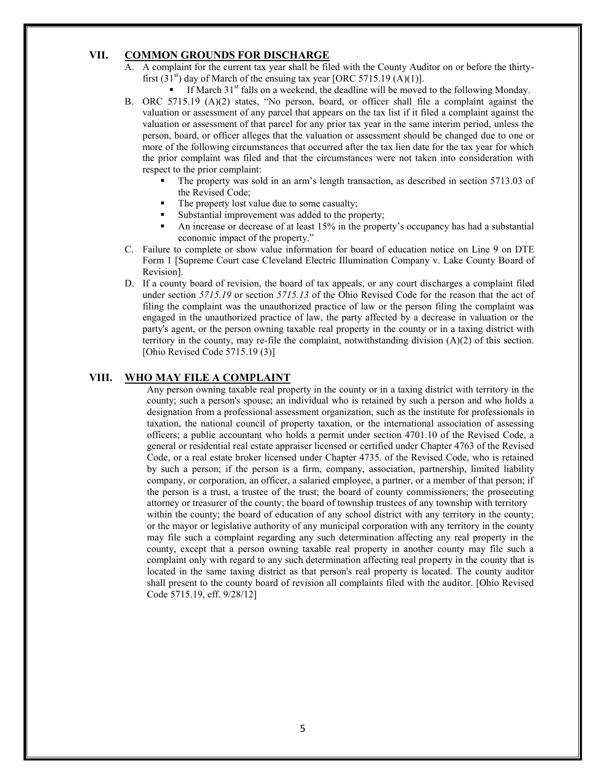### **VII. COMMON GROUNDS FOR DISCHARGE**

- A. A complaint for the current tax year shall be filed with the County Auditor on or before the thirtyfirst  $(31<sup>st</sup>)$  day of March of the ensuing tax year [ORC 5715.19 (A)(1)].
	- If March  $31<sup>st</sup>$  falls on a weekend, the deadline will be moved to the following Monday.
- B. ORC 5715.19 (A)(2) states, "No person, board, or officer shall file a complaint against the valuation or assessment of any parcel that appears on the tax list if it filed a complaint against the valuation or assessment of that parcel for any prior tax year in the same interim period, unless the person, board, or officer alleges that the valuation or assessment should be changed due to one or more of the following circumstances that occurred after the tax lien date for the tax year for which the prior complaint was filed and that the circumstances were not taken into consideration with respect to the prior complaint:
	- The property was sold in an arm's length transaction, as described in section 5713.03 of the Revised Code;
	- The property lost value due to some casualty;
	- Substantial improvement was added to the property;
	- An increase or decrease of at least 15% in the property's occupancy has had a substantial economic impact of the property."
- C. Failure to complete or show value information for board of education notice on Line 9 on DTE Form 1 [Supreme Court case Cleveland Electric Illumination Company v. Lake County Board of Revision].
- D. If a county board of revision, the board of tax appeals, or any court discharges a complaint filed under section *5715.19* or section *5715.13* of the Ohio Revised Code for the reason that the act of filing the complaint was the unauthorized practice of law or the person filing the complaint was engaged in the unauthorized practice of law, the party affected by a decrease in valuation or the party's agent, or the person owning taxable real property in the county or in a taxing district with territory in the county, may re-file the complaint, notwithstanding division (A)(2) of this section. [Ohio Revised Code 5715.19 (3)]

#### **VIII. WHO MAY FILE A COMPLAINT**

Any person owning taxable real property in the county or in a taxing district with territory in the county; such a person's spouse; an individual who is retained by such a person and who holds a designation from a professional assessment organization, such as the institute for professionals in taxation, the national council of property taxation, or the international association of assessing officers; a public accountant who holds a permit under section 4701.10 of the Revised Code, a general or residential real estate appraiser licensed or certified under Chapter 4763 of the Revised Code, or a real estate broker licensed under Chapter 4735. of the Revised Code, who is retained by such a person; if the person is a firm, company, association, partnership, limited liability company, or corporation, an officer, a salaried employee, a partner, or a member of that person; if the person is a trust, a trustee of the trust; the board of county commissioners; the prosecuting attorney or treasurer of the county; the board of township trustees of any township with territory within the county; the board of education of any school district with any territory in the county; or the mayor or legislative authority of any municipal corporation with any territory in the county may file such a complaint regarding any such determination affecting any real property in the county, except that a person owning taxable real property in another county may file such a complaint only with regard to any such determination affecting real property in the county that is located in the same taxing district as that person's real property is located. The county auditor shall present to the county board of revision all complaints filed with the auditor. [Ohio Revised Code 5715.19, eff. 9/28/12]